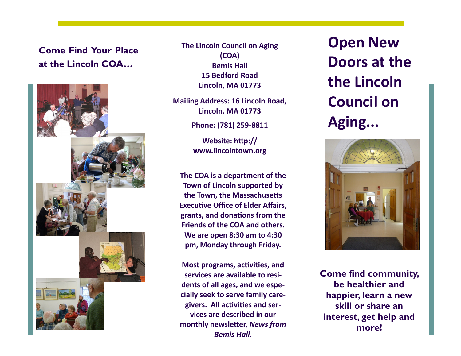# **Come Find Your Place at the Lincoln COA…**



**The Lincoln Council on Aging (COA) Bemis Hall 15 Bedford Road Lincoln, MA 01773**

**Mailing Address: 16 Lincoln Road, Lincoln, MA 01773**

**Phone: (781) 259-8811**

**Website: http:// www.lincolntown.org**

**The COA is a department of the Town of Lincoln supported by the Town, the Massachusetts Executive Office of Elder Affairs, grants, and donations from the Friends of the COA and others. We are open 8:30 am to 4:30 pm, Monday through Friday.**

**Most programs, activities, and services are available to residents of all ages, and we especially seek to serve family caregivers. All activities and services are described in our monthly newsletter,** *News from Bemis Hall.*

**Open New Doors at the the Lincoln Council on Aging...**



**Come find community, be healthier and happier, learn a new skill or share an interest, get help and more!**